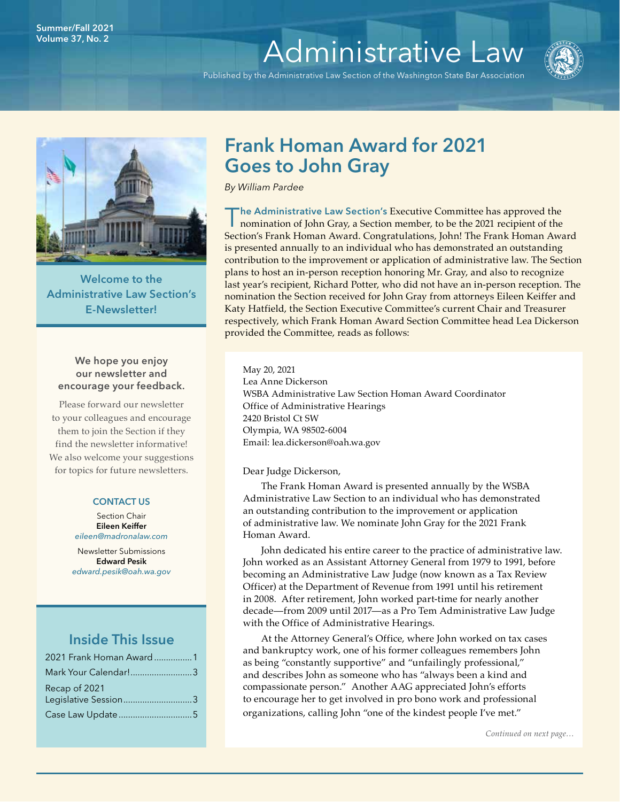# Volume 37, No. 2 **[Administrative Law](http://www.wsba.org/lawyers/groups/administrativelaw/adminlaw.htm)**

Published by the Administrative Law Section of the Washington State Bar Association





Welcome to the Administrative Law Section's E-Newsletter!

# We hope you enjoy our newsletter and encourage your feedback.

Please forward our newsletter to your colleagues and encourage them to join the Section if they find the newsletter informative! We also welcome your suggestions for topics for future newsletters.

#### CONTACT US

Section Chair Eileen Keiffer *[eileen@madronalaw.com](mailto:eileen%40madronalaw.com%20?subject=)*

Newsletter Submissions Edward Pesik *[edward.pesik@oah.wa.gov](mailto:edward.pesik%40oah.wa.gov?subject=)*

# Inside This Issue

| 2021 Frank Homan Award 1              |  |
|---------------------------------------|--|
| Mark Your Calendar!3                  |  |
| Recap of 2021<br>Legislative Session3 |  |
|                                       |  |

# Frank Homan Award for 2021 Goes to John Gray

*By William Pardee*

The Administrative Law Section's Executive Committee has approved the nomination of John Gray, a Section member, to be the 2021 recipient of the Section's Frank Homan Award. Congratulations, John! The Frank Homan Award is presented annually to an individual who has demonstrated an outstanding contribution to the improvement or application of administrative law. The Section plans to host an in-person reception honoring Mr. Gray, and also to recognize last year's recipient, Richard Potter, who did not have an in-person reception. The nomination the Section received for John Gray from attorneys Eileen Keiffer and Katy Hatfield, the Section Executive Committee's current Chair and Treasurer respectively, which Frank Homan Award Section Committee head Lea Dickerson provided the Committee, reads as follows:

May 20, 2021 Lea Anne Dickerson WSBA Administrative Law Section Homan Award Coordinator Office of Administrative Hearings 2420 Bristol Ct SW Olympia, WA 98502-6004 Email: lea.dickerson@oah.wa.gov

# Dear Judge Dickerson,

The Frank Homan Award is presented annually by the WSBA Administrative Law Section to an individual who has demonstrated an outstanding contribution to the improvement or application of administrative law. We nominate John Gray for the 2021 Frank Homan Award.

John dedicated his entire career to the practice of administrative law. John worked as an Assistant Attorney General from 1979 to 1991, before becoming an Administrative Law Judge (now known as a Tax Review Officer) at the Department of Revenue from 1991 until his retirement in 2008. After retirement, John worked part-time for nearly another decade—from 2009 until 2017—as a Pro Tem Administrative Law Judge with the Office of Administrative Hearings.

At the Attorney General's Office, where John worked on tax cases and bankruptcy work, one of his former colleagues remembers John as being "constantly supportive" and "unfailingly professional," and describes John as someone who has "always been a kind and compassionate person." Another AAG appreciated John's efforts to encourage her to get involved in pro bono work and professional organizations, calling John "one of the kindest people I've met."

*Continued on next page…*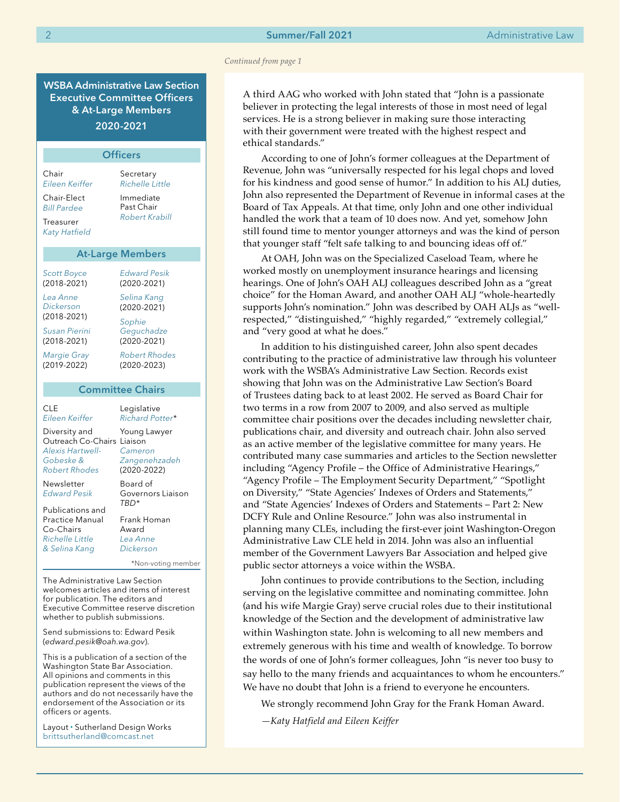#### *Continued from page 1*

A third AAG who worked with John stated that "John is a passionate believer in protecting the legal interests of those in most need of legal services. He is a strong believer in making sure those interacting with their government were treated with the highest respect and ethical standards."

According to one of John's former colleagues at the Department of Revenue, John was "universally respected for his legal chops and loved for his kindness and good sense of humor." In addition to his ALJ duties, John also represented the Department of Revenue in informal cases at the Board of Tax Appeals. At that time, only John and one other individual handled the work that a team of 10 does now. And yet, somehow John still found time to mentor younger attorneys and was the kind of person that younger staff "felt safe talking to and bouncing ideas off of."

At OAH, John was on the Specialized Caseload Team, where he worked mostly on unemployment insurance hearings and licensing hearings. One of John's OAH ALJ colleagues described John as a "great choice" for the Homan Award, and another OAH ALJ "whole-heartedly supports John's nomination." John was described by OAH ALJs as "wellrespected," "distinguished," "highly regarded," "extremely collegial," and "very good at what he does."

In addition to his distinguished career, John also spent decades contributing to the practice of administrative law through his volunteer work with the WSBA's Administrative Law Section. Records exist showing that John was on the Administrative Law Section's Board of Trustees dating back to at least 2002. He served as Board Chair for two terms in a row from 2007 to 2009, and also served as multiple committee chair positions over the decades including newsletter chair, publications chair, and diversity and outreach chair. John also served as an active member of the legislative committee for many years. He contributed many case summaries and articles to the Section newsletter including "Agency Profile – the Office of Administrative Hearings," "Agency Profile – The Employment Security Department," "Spotlight on Diversity," "State Agencies' Indexes of Orders and Statements," and "State Agencies' Indexes of Orders and Statements – Part 2: New DCFY Rule and Online Resource." John was also instrumental in planning many CLEs, including the first-ever joint Washington-Oregon Administrative Law CLE held in 2014. John was also an influential member of the Government Lawyers Bar Association and helped give public sector attorneys a voice within the WSBA.

John continues to provide contributions to the Section, including serving on the legislative committee and nominating committee. John (and his wife Margie Gray) serve crucial roles due to their institutional knowledge of the Section and the development of administrative law within Washington state. John is welcoming to all new members and extremely generous with his time and wealth of knowledge. To borrow the words of one of John's former colleagues, John "is never too busy to say hello to the many friends and acquaintances to whom he encounters." We have no doubt that John is a friend to everyone he encounters.

We strongly recommend John Gray for the Frank Homan Award.

*—Katy Hatfield and Eileen Keiffer*

WSBA Administrative Law Section Executive Committee Officers & At-Large Members 2020-2021

| <b>Officers</b>                                                                                                                                                           |                                                                                                                                                    |  |
|---------------------------------------------------------------------------------------------------------------------------------------------------------------------------|----------------------------------------------------------------------------------------------------------------------------------------------------|--|
| Chair<br>Eileen Keiffer<br>Chair-Elect<br><b>Bill Pardee</b><br>Treasurer<br><b>Katy Hatfield</b>                                                                         | Secretary<br><b>Richelle Little</b><br>Immediate<br>Past Chair<br>Robert Krabill                                                                   |  |
| <b>At-Large Members</b>                                                                                                                                                   |                                                                                                                                                    |  |
| <b>Scott Boyce</b><br>$(2018 - 2021)$<br>Lea Anne<br>Dickerson<br>(2018-2021)<br>Susan Pierini<br>$(2018 - 2021)$<br><b>Margie Gray</b><br>(2019-2022)                    | <b>Edward Pesik</b><br>(2020-2021)<br>Selina Kang<br>$(2020 - 2021)$<br>Sophie<br>Geguchadze<br>(2020-2021)<br><b>Robert Rhodes</b><br>(2020-2023) |  |
| <b>Committee Chairs</b>                                                                                                                                                   |                                                                                                                                                    |  |
| CLE<br>Eileen Keiffer<br>Diversity and<br>Outreach Co-Chairs Liaison<br><b>Alexis Hartwell-</b><br>Gobeske &<br><b>Robert Rhodes</b><br>Newsletter<br><b>Edward Pesik</b> | Legislative<br>Richard Potter*<br>Young Lawyer<br>Cameron<br>Zangenehzadeh<br>(2020-2022)<br>Board of<br>Governors Liaison                         |  |
| Publications and<br>Practice Manual<br>Co-Chairs<br>Richelle Little<br>& Selina Kang                                                                                      | TBD*<br>Frank Homan<br>Award<br>Lea Anne<br>Dickerson<br>*Non-voting member                                                                        |  |

The Administrative Law Section welcomes articles and items of interest for publication. The editors and Executive Committee reserve discretion whether to publish submissions.

Send submissions to: Edward Pesik (*[edward.pesik@oah.wa.gov](mailto:edward.pesik%40oah.wa.gov?subject=)*).

This is a publication of a section of the Washington State Bar Association. All opinions and comments in this publication represent the views of the authors and do not necessarily have the endorsement of the Association or its officers or agents.

Layout • Sutherland Design Works [brittsutherland@comcast.net](mailto:brittsutherland%40comcast.net?subject=WSBA)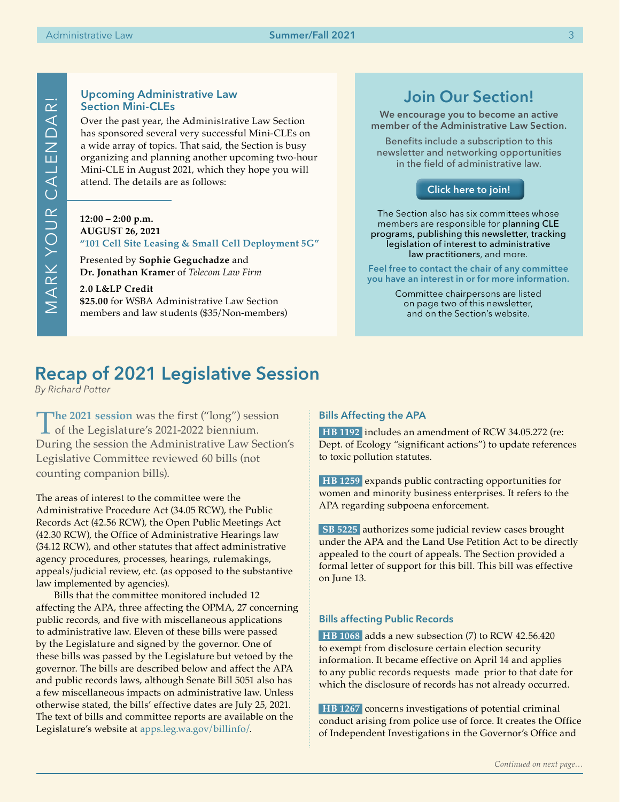# Join Our Section!

We encourage you to become an active member of the Administrative Law Section.

Benefits include a subscription to this newsletter and networking opportunities in the field of administrative law.

# [Click here to join!]( https://www.mywsba.org/PersonifyEbusiness/CLEStore/Administrative-Law-Section/ProductDetail/1)

The Section also has six committees whose members are responsible for planning CLE programs, publishing this newsletter, tracking legislation of interest to administrative law practitioners, and more.

Feel free to contact the chair of any committee you have an interest in or for more information.

> Committee chairpersons are listed on page two of this newsletter, and on the Section's website.

# Upcoming Administrative Law Section Mini-CLEs

Over the past year, the Administrative Law Section has sponsored several very successful Mini-CLEs on a wide array of topics. That said, the Section is busy organizing and planning another upcoming two-hour Mini-CLE in August 2021, which they hope you will attend. The details are as follows:

# **12:00 – 2:00 p.m. AUGUST 26, 2021**

**"101 Cell Site Leasing & Small Cell Deployment 5G"** 

Presented by **Sophie Geguchadze** and **Dr. Jonathan Kramer** of *Telecom Law Firm* 

**2.0 L&LP Credit \$25.00** for WSBA Administrative Law Section members and law students (\$35/Non-members)

# Recap of 2021 Legislative Session

*By Richard Potter*

The 2021 session was the first ("long") session<br>of the Legislature's 2021-2022 biennium.<br>Device the conjugate Administrative Leg Setie During the session the Administrative Law Section's Legislative Committee reviewed 60 bills (not counting companion bills).

The areas of interest to the committee were the Administrative Procedure Act (34.05 RCW), the Public Records Act (42.56 RCW), the Open Public Meetings Act (42.30 RCW), the Office of Administrative Hearings law (34.12 RCW), and other statutes that affect administrative agency procedures, processes, hearings, rulemakings, appeals/judicial review, etc. (as opposed to the substantive law implemented by agencies).

Bills that the committee monitored included 12 affecting the APA, three affecting the OPMA, 27 concerning public records, and five with miscellaneous applications to administrative law. Eleven of these bills were passed by the Legislature and signed by the governor. One of these bills was passed by the Legislature but vetoed by the governor. The bills are described below and affect the APA and public records laws, although Senate Bill 5051 also has a few miscellaneous impacts on administrative law. Unless otherwise stated, the bills' effective dates are July 25, 2021. The text of bills and committee reports are available on the Legislature's website at [apps.leg.wa.gov/billinfo/](http://apps.leg.wa.gov/billinfo/).

# Bills Affecting the APA

**HB 1192** includes an amendment of RCW 34.05.272 (re: Dept. of Ecology "significant actions") to update references to toxic pollution statutes.

**HB 1259** expands public contracting opportunities for women and minority business enterprises. It refers to the APA regarding subpoena enforcement.

**SB 5225** authorizes some judicial review cases brought under the APA and the Land Use Petition Act to be directly appealed to the court of appeals. The Section provided a formal letter of support for this bill. This bill was effective on June 13.

# Bills affecting Public Records

**HB 1068** adds a new subsection (7) to RCW 42.56.420 to exempt from disclosure certain election security information. It became effective on April 14 and applies to any public records requests made prior to that date for which the disclosure of records has not already occurred.

**HB 1267** concerns investigations of potential criminal conduct arising from police use of force. It creates the Office of Independent Investigations in the Governor's Office and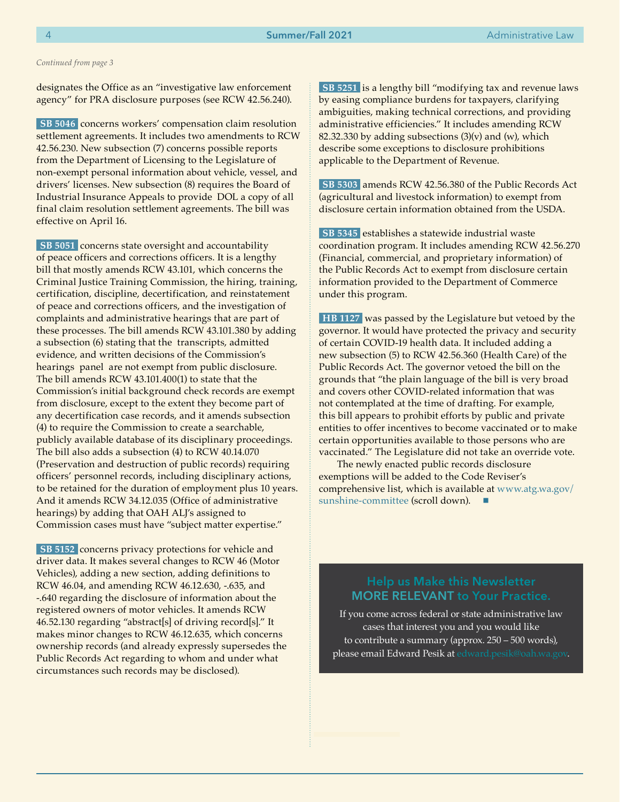#### *Continued from page 3*

designates the Office as an "investigative law enforcement agency" for PRA disclosure purposes (see RCW 42.56.240).

**SB 5046** concerns workers' compensation claim resolution settlement agreements. It includes two amendments to RCW 42.56.230. New subsection (7) concerns possible reports from the Department of Licensing to the Legislature of non-exempt personal information about vehicle, vessel, and drivers' licenses. New subsection (8) requires the Board of Industrial Insurance Appeals to provide DOL a copy of all final claim resolution settlement agreements. The bill was effective on April 16.

**SB 5051** concerns state oversight and accountability of peace officers and corrections officers. It is a lengthy bill that mostly amends RCW 43.101, which concerns the Criminal Justice Training Commission, the hiring, training, certification, discipline, decertification, and reinstatement of peace and corrections officers, and the investigation of complaints and administrative hearings that are part of these processes. The bill amends RCW 43.101.380 by adding a subsection (6) stating that the transcripts, admitted evidence, and written decisions of the Commission's hearings panel are not exempt from public disclosure. The bill amends RCW 43.101.400(1) to state that the Commission's initial background check records are exempt from disclosure, except to the extent they become part of any decertification case records, and it amends subsection (4) to require the Commission to create a searchable, publicly available database of its disciplinary proceedings. The bill also adds a subsection (4) to RCW 40.14.070 (Preservation and destruction of public records) requiring officers' personnel records, including disciplinary actions, to be retained for the duration of employment plus 10 years. And it amends RCW 34.12.035 (Office of administrative hearings) by adding that OAH ALJ's assigned to Commission cases must have "subject matter expertise."

**SB 5152** concerns privacy protections for vehicle and driver data. It makes several changes to RCW 46 (Motor Vehicles), adding a new section, adding definitions to RCW 46.04, and amending RCW 46.12.630, -.635, and -.640 regarding the disclosure of information about the registered owners of motor vehicles. It amends RCW 46.52.130 regarding "abstract[s] of driving record[s]." It makes minor changes to RCW 46.12.635, which concerns ownership records (and already expressly supersedes the Public Records Act regarding to whom and under what circumstances such records may be disclosed).

**SB 5251** is a lengthy bill "modifying tax and revenue laws by easing compliance burdens for taxpayers, clarifying ambiguities, making technical corrections, and providing administrative efficiencies." It includes amending RCW 82.32.330 by adding subsections  $(3)(v)$  and  $(w)$ , which describe some exceptions to disclosure prohibitions applicable to the Department of Revenue.

**SB 5303** amends RCW 42.56.380 of the Public Records Act (agricultural and livestock information) to exempt from disclosure certain information obtained from the USDA.

**SB 5345** establishes a statewide industrial waste coordination program. It includes amending RCW 42.56.270 (Financial, commercial, and proprietary information) of the Public Records Act to exempt from disclosure certain information provided to the Department of Commerce under this program.

**HB 1127** was passed by the Legislature but vetoed by the governor. It would have protected the privacy and security of certain COVID-19 health data. It included adding a new subsection (5) to RCW 42.56.360 (Health Care) of the Public Records Act. The governor vetoed the bill on the grounds that "the plain language of the bill is very broad and covers other COVID-related information that was not contemplated at the time of drafting. For example, this bill appears to prohibit efforts by public and private entities to offer incentives to become vaccinated or to make certain opportunities available to those persons who are vaccinated." The Legislature did not take an override vote.

The newly enacted public records disclosure exemptions will be added to the Code Reviser's comprehensive list, which is available at [www.atg.wa.gov/](http://www.atg.wa.gov/sunshine-committee) [sunshine-committee](http://www.atg.wa.gov/sunshine-committee) (scroll down).

# MORE RELEVANT to Your Practice.

If you come across federal or state administrative law cases that interest you and you would like to contribute a summary (approx. 250 – 500 words), please email Edward Pesik at [edward.pesik@oah.wa.gov](mailto:edward.pesik%40oah.wa.gov?subject=).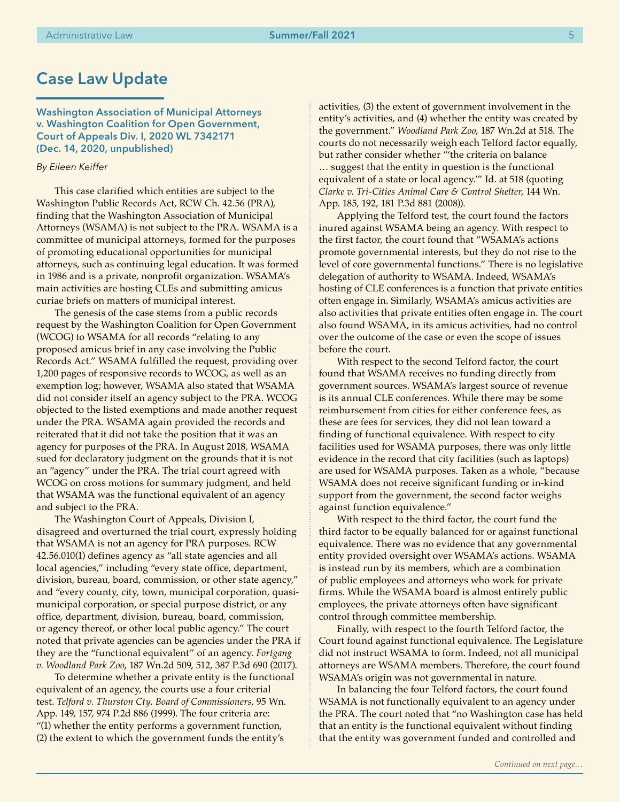# Case Law Update

Washington Association of Municipal Attorneys v. Washington Coalition for Open Government, Court of Appeals Div. I, 2020 WL 7342171 (Dec. 14, 2020, unpublished)

#### *By Eileen Keiffer*

This case clarified which entities are subject to the Washington Public Records Act, RCW Ch. 42.56 (PRA), finding that the Washington Association of Municipal Attorneys (WSAMA) is not subject to the PRA. WSAMA is a committee of municipal attorneys, formed for the purposes of promoting educational opportunities for municipal attorneys, such as continuing legal education. It was formed in 1986 and is a private, nonprofit organization. WSAMA's main activities are hosting CLEs and submitting amicus curiae briefs on matters of municipal interest.

The genesis of the case stems from a public records request by the Washington Coalition for Open Government (WCOG) to WSAMA for all records "relating to any proposed amicus brief in any case involving the Public Records Act." WSAMA fulfilled the request, providing over 1,200 pages of responsive records to WCOG, as well as an exemption log; however, WSAMA also stated that WSAMA did not consider itself an agency subject to the PRA. WCOG objected to the listed exemptions and made another request under the PRA. WSAMA again provided the records and reiterated that it did not take the position that it was an agency for purposes of the PRA. In August 2018, WSAMA sued for declaratory judgment on the grounds that it is not an "agency" under the PRA. The trial court agreed with WCOG on cross motions for summary judgment, and held that WSAMA was the functional equivalent of an agency and subject to the PRA.

The Washington Court of Appeals, Division I, disagreed and overturned the trial court, expressly holding that WSAMA is not an agency for PRA purposes. RCW 42.56.010(1) defines agency as "all state agencies and all local agencies," including "every state office, department, division, bureau, board, commission, or other state agency," and "every county, city, town, municipal corporation, quasimunicipal corporation, or special purpose district, or any office, department, division, bureau, board, commission, or agency thereof, or other local public agency." The court noted that private agencies can be agencies under the PRA if they are the "functional equivalent" of an agency. *Fortgang v. Woodland Park Zoo*, 187 Wn.2d 509, 512, 387 P.3d 690 (2017).

To determine whether a private entity is the functional equivalent of an agency, the courts use a four criterial test. *Telford v. Thurston Cty. Board of Commissioners*, 95 Wn. App. 149, 157, 974 P.2d 886 (1999). The four criteria are: "(1) whether the entity performs a government function, (2) the extent to which the government funds the entity's

activities, (3) the extent of government involvement in the entity's activities, and (4) whether the entity was created by the government." *Woodland Park Zoo*, 187 Wn.2d at 518. The courts do not necessarily weigh each Telford factor equally, but rather consider whether "'the criteria on balance … suggest that the entity in question is the functional equivalent of a state or local agency.'" Id. at 518 (quoting *Clarke v. Tri-Cities Animal Care & Control Shelter*, 144 Wn. App. 185, 192, 181 P.3d 881 (2008)).

Applying the Telford test, the court found the factors inured against WSAMA being an agency. With respect to the first factor, the court found that "WSAMA's actions promote governmental interests, but they do not rise to the level of core governmental functions." There is no legislative delegation of authority to WSAMA. Indeed, WSAMA's hosting of CLE conferences is a function that private entities often engage in. Similarly, WSAMA's amicus activities are also activities that private entities often engage in. The court also found WSAMA, in its amicus activities, had no control over the outcome of the case or even the scope of issues before the court.

With respect to the second Telford factor, the court found that WSAMA receives no funding directly from government sources. WSAMA's largest source of revenue is its annual CLE conferences. While there may be some reimbursement from cities for either conference fees, as these are fees for services, they did not lean toward a finding of functional equivalence. With respect to city facilities used for WSAMA purposes, there was only little evidence in the record that city facilities (such as laptops) are used for WSAMA purposes. Taken as a whole, "because WSAMA does not receive significant funding or in-kind support from the government, the second factor weighs against function equivalence."

With respect to the third factor, the court fund the third factor to be equally balanced for or against functional equivalence. There was no evidence that any governmental entity provided oversight over WSAMA's actions. WSAMA is instead run by its members, which are a combination of public employees and attorneys who work for private firms. While the WSAMA board is almost entirely public employees, the private attorneys often have significant control through committee membership.

Finally, with respect to the fourth Telford factor, the Court found against functional equivalence. The Legislature did not instruct WSAMA to form. Indeed, not all municipal attorneys are WSAMA members. Therefore, the court found WSAMA's origin was not governmental in nature.

In balancing the four Telford factors, the court found WSAMA is not functionally equivalent to an agency under the PRA. The court noted that "no Washington case has held that an entity is the functional equivalent without finding that the entity was government funded and controlled and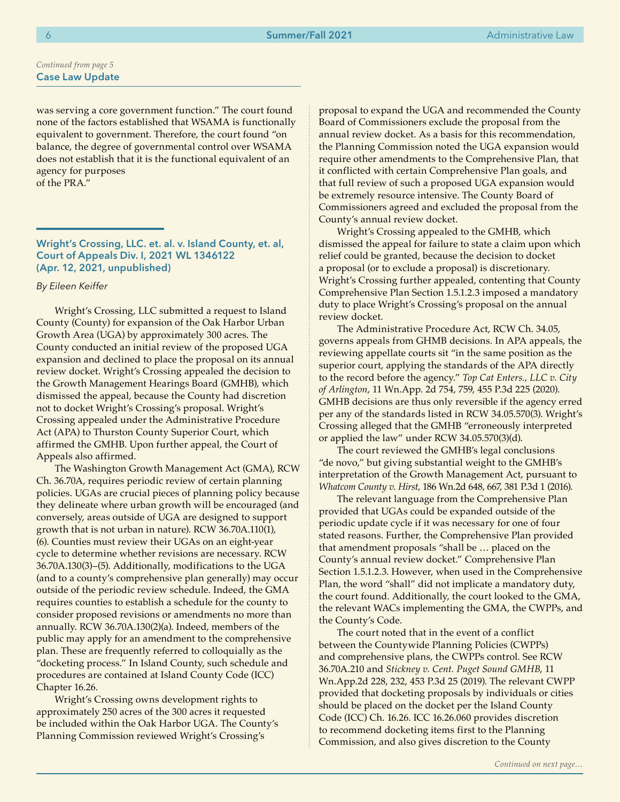was serving a core government function." The court found none of the factors established that WSAMA is functionally equivalent to government. Therefore, the court found "on balance, the degree of governmental control over WSAMA does not establish that it is the functional equivalent of an agency for purposes of the PRA."

Wright's Crossing, LLC. et. al. v. Island County, et. al, Court of Appeals Div. I, 2021 WL 1346122 (Apr. 12, 2021, unpublished)

*By Eileen Keiffer*

Wright's Crossing, LLC submitted a request to Island County (County) for expansion of the Oak Harbor Urban Growth Area (UGA) by approximately 300 acres. The County conducted an initial review of the proposed UGA expansion and declined to place the proposal on its annual review docket. Wright's Crossing appealed the decision to the Growth Management Hearings Board (GMHB), which dismissed the appeal, because the County had discretion not to docket Wright's Crossing's proposal. Wright's Crossing appealed under the Administrative Procedure Act (APA) to Thurston County Superior Court, which affirmed the GMHB. Upon further appeal, the Court of Appeals also affirmed.

The Washington Growth Management Act (GMA), RCW Ch. 36.70A, requires periodic review of certain planning policies. UGAs are crucial pieces of planning policy because they delineate where urban growth will be encouraged (and conversely, areas outside of UGA are designed to support growth that is not urban in nature). RCW 36.70A.110(1), (6). Counties must review their UGAs on an eight-year cycle to determine whether revisions are necessary. RCW 36.70A.130(3)–(5). Additionally, modifications to the UGA (and to a county's comprehensive plan generally) may occur outside of the periodic review schedule. Indeed, the GMA requires counties to establish a schedule for the county to consider proposed revisions or amendments no more than annually. RCW 36.70A.130(2)(a). Indeed, members of the public may apply for an amendment to the comprehensive plan. These are frequently referred to colloquially as the "docketing process." In Island County, such schedule and procedures are contained at Island County Code (ICC) Chapter 16.26.

Wright's Crossing owns development rights to approximately 250 acres of the 300 acres it requested be included within the Oak Harbor UGA. The County's Planning Commission reviewed Wright's Crossing's

proposal to expand the UGA and recommended the County Board of Commissioners exclude the proposal from the annual review docket. As a basis for this recommendation, the Planning Commission noted the UGA expansion would require other amendments to the Comprehensive Plan, that it conflicted with certain Comprehensive Plan goals, and that full review of such a proposed UGA expansion would be extremely resource intensive. The County Board of Commissioners agreed and excluded the proposal from the County's annual review docket.

Wright's Crossing appealed to the GMHB, which dismissed the appeal for failure to state a claim upon which relief could be granted, because the decision to docket a proposal (or to exclude a proposal) is discretionary. Wright's Crossing further appealed, contenting that County Comprehensive Plan Section 1.5.1.2.3 imposed a mandatory duty to place Wright's Crossing's proposal on the annual review docket.

The Administrative Procedure Act, RCW Ch. 34.05, governs appeals from GHMB decisions. In APA appeals, the reviewing appellate courts sit "in the same position as the superior court, applying the standards of the APA directly to the record before the agency." *Top Cat Enters., LLC v. City of Arlington*, 11 Wn.App. 2d 754, 759, 455 P.3d 225 (2020). GMHB decisions are thus only reversible if the agency erred per any of the standards listed in RCW 34.05.570(3). Wright's Crossing alleged that the GMHB "erroneously interpreted or applied the law" under RCW 34.05.570(3)(d).

The court reviewed the GMHB's legal conclusions "de novo," but giving substantial weight to the GMHB's interpretation of the Growth Management Act, pursuant to *Whatcom County v. Hirst*, 186 Wn.2d 648, 667, 381 P.3d 1 (2016).

The relevant language from the Comprehensive Plan provided that UGAs could be expanded outside of the periodic update cycle if it was necessary for one of four stated reasons. Further, the Comprehensive Plan provided that amendment proposals "shall be … placed on the County's annual review docket." Comprehensive Plan Section 1.5.1.2.3. However, when used in the Comprehensive Plan, the word "shall" did not implicate a mandatory duty, the court found. Additionally, the court looked to the GMA, the relevant WACs implementing the GMA, the CWPPs, and the County's Code.

The court noted that in the event of a conflict between the Countywide Planning Policies (CWPPs) and comprehensive plans, the CWPPs control. See RCW 36.70A.210 and *Stickney v. Cent. Puget Sound GMHB*, 11 Wn.App.2d 228, 232, 453 P.3d 25 (2019). The relevant CWPP provided that docketing proposals by individuals or cities should be placed on the docket per the Island County Code (ICC) Ch. 16.26. ICC 16.26.060 provides discretion to recommend docketing items first to the Planning Commission, and also gives discretion to the County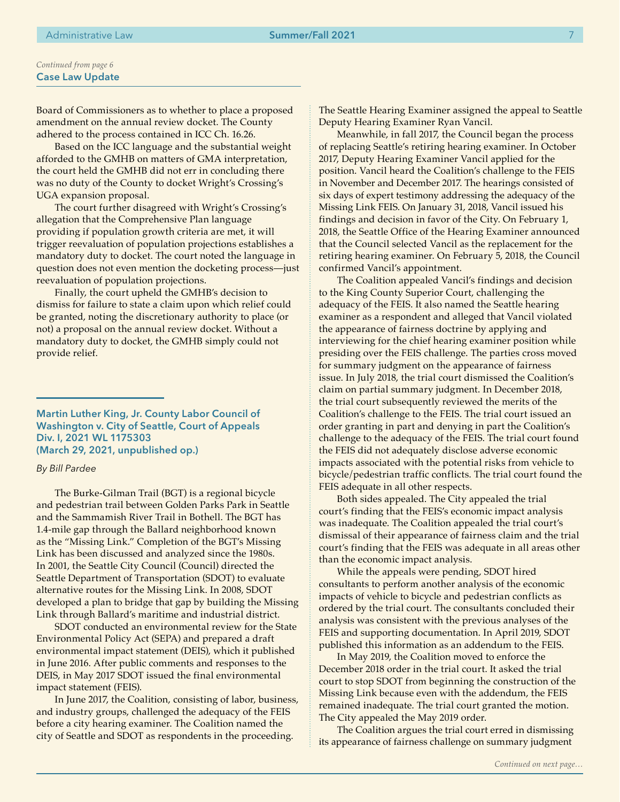Board of Commissioners as to whether to place a proposed amendment on the annual review docket. The County adhered to the process contained in ICC Ch. 16.26.

Based on the ICC language and the substantial weight afforded to the GMHB on matters of GMA interpretation, the court held the GMHB did not err in concluding there was no duty of the County to docket Wright's Crossing's UGA expansion proposal.

The court further disagreed with Wright's Crossing's allegation that the Comprehensive Plan language providing if population growth criteria are met, it will trigger reevaluation of population projections establishes a mandatory duty to docket. The court noted the language in question does not even mention the docketing process—just reevaluation of population projections.

Finally, the court upheld the GMHB's decision to dismiss for failure to state a claim upon which relief could be granted, noting the discretionary authority to place (or not) a proposal on the annual review docket. Without a mandatory duty to docket, the GMHB simply could not provide relief.

Martin Luther King, Jr. County Labor Council of Washington v. City of Seattle, Court of Appeals Div. I, 2021 WL 1175303 (March 29, 2021, unpublished op.)

## *By Bill Pardee*

The Burke-Gilman Trail (BGT) is a regional bicycle and pedestrian trail between Golden Parks Park in Seattle and the Sammamish River Trail in Bothell. The BGT has 1.4-mile gap through the Ballard neighborhood known as the "Missing Link." Completion of the BGT's Missing Link has been discussed and analyzed since the 1980s. In 2001, the Seattle City Council (Council) directed the Seattle Department of Transportation (SDOT) to evaluate alternative routes for the Missing Link. In 2008, SDOT developed a plan to bridge that gap by building the Missing Link through Ballard's maritime and industrial district.

SDOT conducted an environmental review for the State Environmental Policy Act (SEPA) and prepared a draft environmental impact statement (DEIS), which it published in June 2016. After public comments and responses to the DEIS, in May 2017 SDOT issued the final environmental impact statement (FEIS).

In June 2017, the Coalition, consisting of labor, business, and industry groups, challenged the adequacy of the FEIS before a city hearing examiner. The Coalition named the city of Seattle and SDOT as respondents in the proceeding.

The Seattle Hearing Examiner assigned the appeal to Seattle Deputy Hearing Examiner Ryan Vancil.

Meanwhile, in fall 2017, the Council began the process of replacing Seattle's retiring hearing examiner. In October 2017, Deputy Hearing Examiner Vancil applied for the position. Vancil heard the Coalition's challenge to the FEIS in November and December 2017. The hearings consisted of six days of expert testimony addressing the adequacy of the Missing Link FEIS. On January 31, 2018, Vancil issued his findings and decision in favor of the City. On February 1, 2018, the Seattle Office of the Hearing Examiner announced that the Council selected Vancil as the replacement for the retiring hearing examiner. On February 5, 2018, the Council confirmed Vancil's appointment.

The Coalition appealed Vancil's findings and decision to the King County Superior Court, challenging the adequacy of the FEIS. It also named the Seattle hearing examiner as a respondent and alleged that Vancil violated the appearance of fairness doctrine by applying and interviewing for the chief hearing examiner position while presiding over the FEIS challenge. The parties cross moved for summary judgment on the appearance of fairness issue. In July 2018, the trial court dismissed the Coalition's claim on partial summary judgment. In December 2018, the trial court subsequently reviewed the merits of the Coalition's challenge to the FEIS. The trial court issued an order granting in part and denying in part the Coalition's challenge to the adequacy of the FEIS. The trial court found the FEIS did not adequately disclose adverse economic impacts associated with the potential risks from vehicle to bicycle/pedestrian traffic conflicts. The trial court found the FEIS adequate in all other respects.

Both sides appealed. The City appealed the trial court's finding that the FEIS's economic impact analysis was inadequate. The Coalition appealed the trial court's dismissal of their appearance of fairness claim and the trial court's finding that the FEIS was adequate in all areas other than the economic impact analysis.

While the appeals were pending, SDOT hired consultants to perform another analysis of the economic impacts of vehicle to bicycle and pedestrian conflicts as ordered by the trial court. The consultants concluded their analysis was consistent with the previous analyses of the FEIS and supporting documentation. In April 2019, SDOT published this information as an addendum to the FEIS.

In May 2019, the Coalition moved to enforce the December 2018 order in the trial court. It asked the trial court to stop SDOT from beginning the construction of the Missing Link because even with the addendum, the FEIS remained inadequate. The trial court granted the motion. The City appealed the May 2019 order.

The Coalition argues the trial court erred in dismissing its appearance of fairness challenge on summary judgment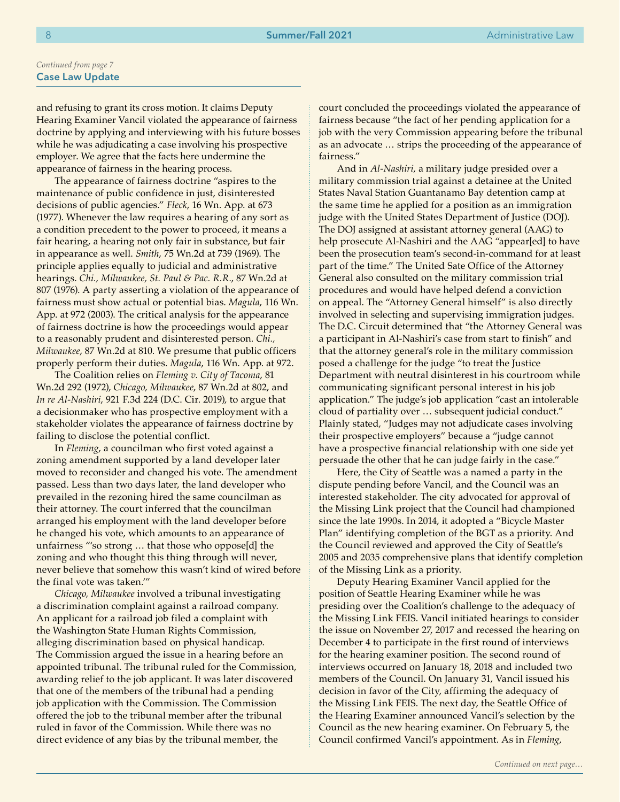and refusing to grant its cross motion. It claims Deputy Hearing Examiner Vancil violated the appearance of fairness doctrine by applying and interviewing with his future bosses while he was adjudicating a case involving his prospective employer. We agree that the facts here undermine the appearance of fairness in the hearing process.

The appearance of fairness doctrine "aspires to the maintenance of public confidence in just, disinterested decisions of public agencies." *Fleck*, 16 Wn. App. at 673 (1977). Whenever the law requires a hearing of any sort as a condition precedent to the power to proceed, it means a fair hearing, a hearing not only fair in substance, but fair in appearance as well. *Smith*, 75 Wn.2d at 739 (1969). The principle applies equally to judicial and administrative hearings. *Chi., Milwaukee, St. Paul & Pac. R.R.*, 87 Wn.2d at 807 (1976). A party asserting a violation of the appearance of fairness must show actual or potential bias. *Magula*, 116 Wn. App. at 972 (2003). The critical analysis for the appearance of fairness doctrine is how the proceedings would appear to a reasonably prudent and disinterested person. *Chi., Milwaukee*, 87 Wn.2d at 810. We presume that public officers properly perform their duties. *Magula*, 116 Wn. App. at 972.

The Coalition relies on *Fleming v. City of Tacoma*, 81 Wn.2d 292 (1972), *Chicago, Milwaukee*, 87 Wn.2d at 802, and *In re Al-Nashiri*, 921 F.3d 224 (D.C. Cir. 2019), to argue that a decisionmaker who has prospective employment with a stakeholder violates the appearance of fairness doctrine by failing to disclose the potential conflict.

In *Fleming*, a councilman who first voted against a zoning amendment supported by a land developer later moved to reconsider and changed his vote. The amendment passed. Less than two days later, the land developer who prevailed in the rezoning hired the same councilman as their attorney. The court inferred that the councilman arranged his employment with the land developer before he changed his vote, which amounts to an appearance of unfairness "'so strong … that those who oppose[d] the zoning and who thought this thing through will never, never believe that somehow this wasn't kind of wired before the final vote was taken.'"

*Chicago, Milwaukee* involved a tribunal investigating a discrimination complaint against a railroad company. An applicant for a railroad job filed a complaint with the Washington State Human Rights Commission, alleging discrimination based on physical handicap. The Commission argued the issue in a hearing before an appointed tribunal. The tribunal ruled for the Commission, awarding relief to the job applicant. It was later discovered that one of the members of the tribunal had a pending job application with the Commission. The Commission offered the job to the tribunal member after the tribunal ruled in favor of the Commission. While there was no direct evidence of any bias by the tribunal member, the

court concluded the proceedings violated the appearance of fairness because "the fact of her pending application for a job with the very Commission appearing before the tribunal as an advocate … strips the proceeding of the appearance of fairness."

And in *Al-Nashiri*, a military judge presided over a military commission trial against a detainee at the United States Naval Station Guantanamo Bay detention camp at the same time he applied for a position as an immigration judge with the United States Department of Justice (DOJ). The DOJ assigned at assistant attorney general (AAG) to help prosecute Al-Nashiri and the AAG "appear[ed] to have been the prosecution team's second-in-command for at least part of the time." The United Sate Office of the Attorney General also consulted on the military commission trial procedures and would have helped defend a conviction on appeal. The "Attorney General himself" is also directly involved in selecting and supervising immigration judges. The D.C. Circuit determined that "the Attorney General was a participant in Al-Nashiri's case from start to finish" and that the attorney general's role in the military commission posed a challenge for the judge "to treat the Justice Department with neutral disinterest in his courtroom while communicating significant personal interest in his job application." The judge's job application "cast an intolerable cloud of partiality over … subsequent judicial conduct." Plainly stated, "Judges may not adjudicate cases involving their prospective employers" because a "judge cannot have a prospective financial relationship with one side yet persuade the other that he can judge fairly in the case."

Here, the City of Seattle was a named a party in the dispute pending before Vancil, and the Council was an interested stakeholder. The city advocated for approval of the Missing Link project that the Council had championed since the late 1990s. In 2014, it adopted a "Bicycle Master Plan" identifying completion of the BGT as a priority. And the Council reviewed and approved the City of Seattle's 2005 and 2035 comprehensive plans that identify completion of the Missing Link as a priority.

Deputy Hearing Examiner Vancil applied for the position of Seattle Hearing Examiner while he was presiding over the Coalition's challenge to the adequacy of the Missing Link FEIS. Vancil initiated hearings to consider the issue on November 27, 2017 and recessed the hearing on December 4 to participate in the first round of interviews for the hearing examiner position. The second round of interviews occurred on January 18, 2018 and included two members of the Council. On January 31, Vancil issued his decision in favor of the City, affirming the adequacy of the Missing Link FEIS. The next day, the Seattle Office of the Hearing Examiner announced Vancil's selection by the Council as the new hearing examiner. On February 5, the Council confirmed Vancil's appointment. As in *Fleming*,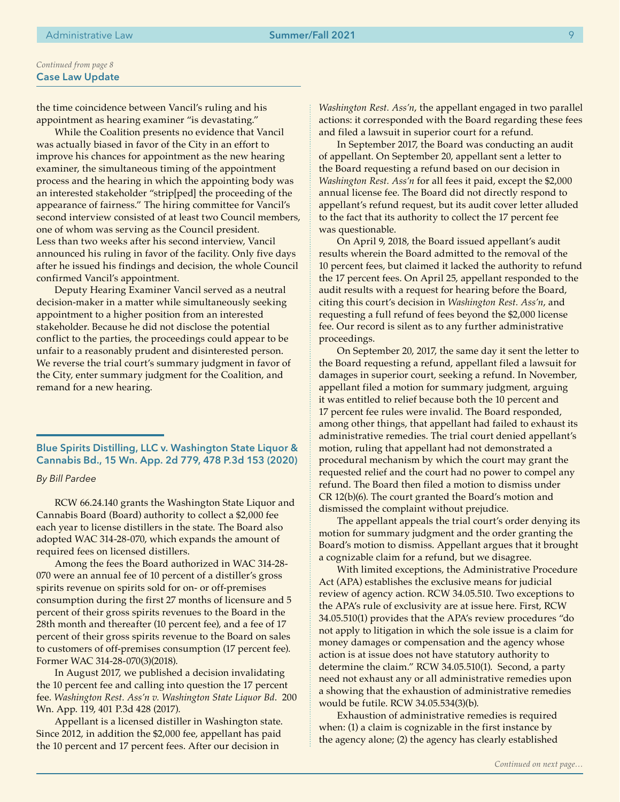the time coincidence between Vancil's ruling and his appointment as hearing examiner "is devastating."

While the Coalition presents no evidence that Vancil was actually biased in favor of the City in an effort to improve his chances for appointment as the new hearing examiner, the simultaneous timing of the appointment process and the hearing in which the appointing body was an interested stakeholder "strip[ped] the proceeding of the appearance of fairness." The hiring committee for Vancil's second interview consisted of at least two Council members, one of whom was serving as the Council president. Less than two weeks after his second interview, Vancil announced his ruling in favor of the facility. Only five days after he issued his findings and decision, the whole Council confirmed Vancil's appointment.

Deputy Hearing Examiner Vancil served as a neutral decision-maker in a matter while simultaneously seeking appointment to a higher position from an interested stakeholder. Because he did not disclose the potential conflict to the parties, the proceedings could appear to be unfair to a reasonably prudent and disinterested person. We reverse the trial court's summary judgment in favor of the City, enter summary judgment for the Coalition, and remand for a new hearing.

Blue Spirits Distilling, LLC v. Washington State Liquor & Cannabis Bd., 15 Wn. App. 2d 779, 478 P.3d 153 (2020)

*By Bill Pardee*

RCW 66.24.140 grants the Washington State Liquor and Cannabis Board (Board) authority to collect a \$2,000 fee each year to license distillers in the state. The Board also adopted WAC 314-28-070, which expands the amount of required fees on licensed distillers.

Among the fees the Board authorized in WAC 314-28- 070 were an annual fee of 10 percent of a distiller's gross spirits revenue on spirits sold for on- or off-premises consumption during the first 27 months of licensure and 5 percent of their gross spirits revenues to the Board in the 28th month and thereafter (10 percent fee), and a fee of 17 percent of their gross spirits revenue to the Board on sales to customers of off-premises consumption (17 percent fee). Former WAC 314-28-070(3)(2018).

In August 2017, we published a decision invalidating the 10 percent fee and calling into question the 17 percent fee. *Washington Rest. Ass'n v. Washington State Liquor Bd*. 200 Wn. App. 119, 401 P.3d 428 (2017).

Appellant is a licensed distiller in Washington state. Since 2012, in addition the \$2,000 fee, appellant has paid the 10 percent and 17 percent fees. After our decision in

*Washington Rest. Ass'n*, the appellant engaged in two parallel actions: it corresponded with the Board regarding these fees and filed a lawsuit in superior court for a refund.

In September 2017, the Board was conducting an audit of appellant. On September 20, appellant sent a letter to the Board requesting a refund based on our decision in *Washington Rest. Ass'n* for all fees it paid, except the \$2,000 annual license fee. The Board did not directly respond to appellant's refund request, but its audit cover letter alluded to the fact that its authority to collect the 17 percent fee was questionable.

On April 9, 2018, the Board issued appellant's audit results wherein the Board admitted to the removal of the 10 percent fees, but claimed it lacked the authority to refund the 17 percent fees. On April 25, appellant responded to the audit results with a request for hearing before the Board, citing this court's decision in *Washington Rest. Ass'n*, and requesting a full refund of fees beyond the \$2,000 license fee. Our record is silent as to any further administrative proceedings.

On September 20, 2017, the same day it sent the letter to the Board requesting a refund, appellant filed a lawsuit for damages in superior court, seeking a refund. In November, appellant filed a motion for summary judgment, arguing it was entitled to relief because both the 10 percent and 17 percent fee rules were invalid. The Board responded, among other things, that appellant had failed to exhaust its administrative remedies. The trial court denied appellant's motion, ruling that appellant had not demonstrated a procedural mechanism by which the court may grant the requested relief and the court had no power to compel any refund. The Board then filed a motion to dismiss under CR 12(b)(6). The court granted the Board's motion and dismissed the complaint without prejudice.

The appellant appeals the trial court's order denying its motion for summary judgment and the order granting the Board's motion to dismiss. Appellant argues that it brought a cognizable claim for a refund, but we disagree.

With limited exceptions, the Administrative Procedure Act (APA) establishes the exclusive means for judicial review of agency action. RCW 34.05.510. Two exceptions to the APA's rule of exclusivity are at issue here. First, RCW 34.05.510(1) provides that the APA's review procedures "do not apply to litigation in which the sole issue is a claim for money damages or compensation and the agency whose action is at issue does not have statutory authority to determine the claim." RCW 34.05.510(1). Second, a party need not exhaust any or all administrative remedies upon a showing that the exhaustion of administrative remedies would be futile. RCW 34.05.534(3)(b).

Exhaustion of administrative remedies is required when: (1) a claim is cognizable in the first instance by the agency alone; (2) the agency has clearly established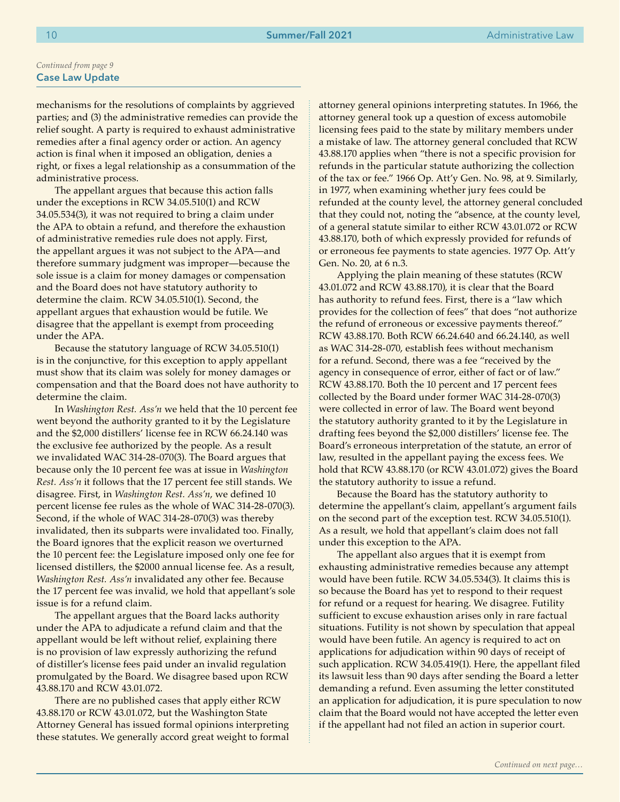mechanisms for the resolutions of complaints by aggrieved parties; and (3) the administrative remedies can provide the relief sought. A party is required to exhaust administrative remedies after a final agency order or action. An agency action is final when it imposed an obligation, denies a right, or fixes a legal relationship as a consummation of the administrative process.

The appellant argues that because this action falls under the exceptions in RCW 34.05.510(1) and RCW 34.05.534(3), it was not required to bring a claim under the APA to obtain a refund, and therefore the exhaustion of administrative remedies rule does not apply. First, the appellant argues it was not subject to the APA—and therefore summary judgment was improper—because the sole issue is a claim for money damages or compensation and the Board does not have statutory authority to determine the claim. RCW 34.05.510(1). Second, the appellant argues that exhaustion would be futile. We disagree that the appellant is exempt from proceeding under the APA.

Because the statutory language of RCW 34.05.510(1) is in the conjunctive, for this exception to apply appellant must show that its claim was solely for money damages or compensation and that the Board does not have authority to determine the claim.

In *Washington Rest. Ass'n* we held that the 10 percent fee went beyond the authority granted to it by the Legislature and the \$2,000 distillers' license fee in RCW 66.24.140 was the exclusive fee authorized by the people. As a result we invalidated WAC 314-28-070(3). The Board argues that because only the 10 percent fee was at issue in *Washington Rest. Ass'n* it follows that the 17 percent fee still stands. We disagree. First, in *Washington Rest. Ass'n*, we defined 10 percent license fee rules as the whole of WAC 314-28-070(3). Second, if the whole of WAC 314-28-070(3) was thereby invalidated, then its subparts were invalidated too. Finally, the Board ignores that the explicit reason we overturned the 10 percent fee: the Legislature imposed only one fee for licensed distillers, the \$2000 annual license fee. As a result, *Washington Rest. Ass'n* invalidated any other fee. Because the 17 percent fee was invalid, we hold that appellant's sole issue is for a refund claim.

The appellant argues that the Board lacks authority under the APA to adjudicate a refund claim and that the appellant would be left without relief, explaining there is no provision of law expressly authorizing the refund of distiller's license fees paid under an invalid regulation promulgated by the Board. We disagree based upon RCW 43.88.170 and RCW 43.01.072.

There are no published cases that apply either RCW 43.88.170 or RCW 43.01.072, but the Washington State Attorney General has issued formal opinions interpreting these statutes. We generally accord great weight to formal attorney general opinions interpreting statutes. In 1966, the attorney general took up a question of excess automobile licensing fees paid to the state by military members under a mistake of law. The attorney general concluded that RCW 43.88.170 applies when "there is not a specific provision for refunds in the particular statute authorizing the collection of the tax or fee." 1966 Op. Att'y Gen. No. 98, at 9. Similarly, in 1977, when examining whether jury fees could be refunded at the county level, the attorney general concluded that they could not, noting the "absence, at the county level, of a general statute similar to either RCW 43.01.072 or RCW 43.88.170, both of which expressly provided for refunds of or erroneous fee payments to state agencies. 1977 Op. Att'y Gen. No. 20, at 6 n.3.

Applying the plain meaning of these statutes (RCW 43.01.072 and RCW 43.88.170), it is clear that the Board has authority to refund fees. First, there is a "law which provides for the collection of fees" that does "not authorize the refund of erroneous or excessive payments thereof." RCW 43.88.170. Both RCW 66.24.640 and 66.24.140, as well as WAC 314-28-070, establish fees without mechanism for a refund. Second, there was a fee "received by the agency in consequence of error, either of fact or of law." RCW 43.88.170. Both the 10 percent and 17 percent fees collected by the Board under former WAC 314-28-070(3) were collected in error of law. The Board went beyond the statutory authority granted to it by the Legislature in drafting fees beyond the \$2,000 distillers' license fee. The Board's erroneous interpretation of the statute, an error of law, resulted in the appellant paying the excess fees. We hold that RCW 43.88.170 (or RCW 43.01.072) gives the Board the statutory authority to issue a refund.

Because the Board has the statutory authority to determine the appellant's claim, appellant's argument fails on the second part of the exception test. RCW 34.05.510(1). As a result, we hold that appellant's claim does not fall under this exception to the APA.

The appellant also argues that it is exempt from exhausting administrative remedies because any attempt would have been futile. RCW 34.05.534(3). It claims this is so because the Board has yet to respond to their request for refund or a request for hearing. We disagree. Futility sufficient to excuse exhaustion arises only in rare factual situations. Futility is not shown by speculation that appeal would have been futile. An agency is required to act on applications for adjudication within 90 days of receipt of such application. RCW 34.05.419(1). Here, the appellant filed its lawsuit less than 90 days after sending the Board a letter demanding a refund. Even assuming the letter constituted an application for adjudication, it is pure speculation to now claim that the Board would not have accepted the letter even if the appellant had not filed an action in superior court.